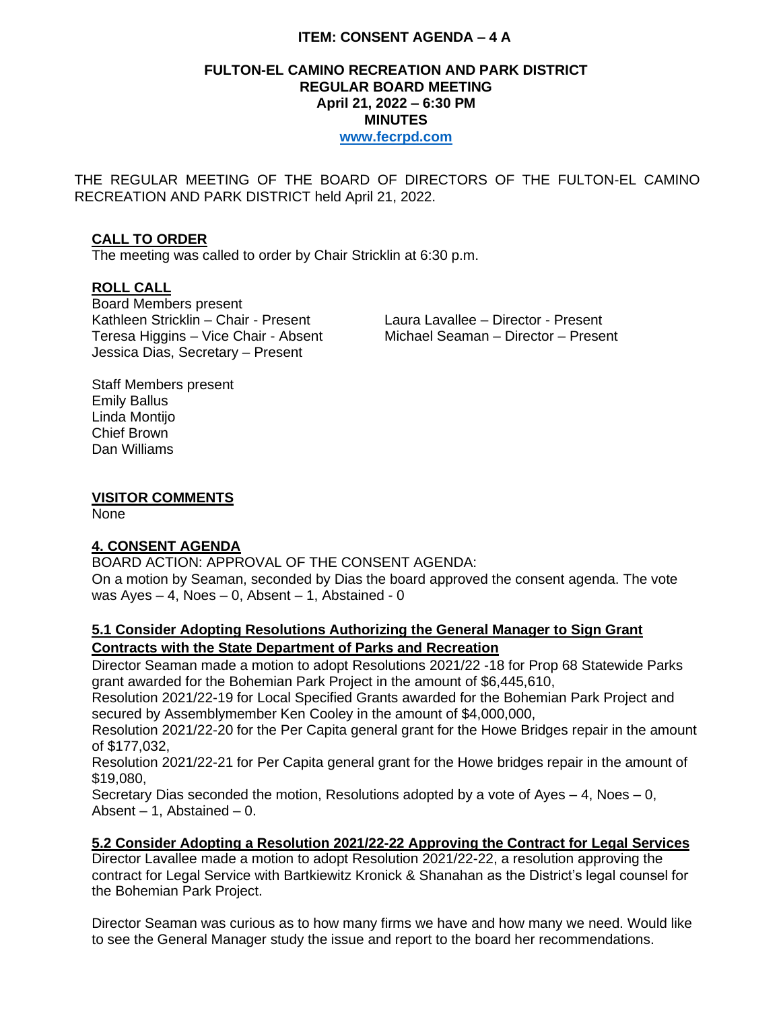# **ITEM: CONSENT AGENDA – 4 A**

#### **FULTON-EL CAMINO RECREATION AND PARK DISTRICT REGULAR BOARD MEETING April 21, 2022 – 6:30 PM MINUTES [www.fecrpd.com](http://www.fecrpd.com/)**

THE REGULAR MEETING OF THE BOARD OF DIRECTORS OF THE FULTON-EL CAMINO RECREATION AND PARK DISTRICT held April 21, 2022.

# **CALL TO ORDER**

The meeting was called to order by Chair Stricklin at 6:30 p.m.

## **ROLL CALL**

Board Members present Kathleen Stricklin – Chair - Present Laura Lavallee – Director - Present Jessica Dias, Secretary – Present

Teresa Higgins – Vice Chair - Absent Michael Seaman – Director – Present

Staff Members present Emily Ballus Linda Montijo Chief Brown Dan Williams

#### **VISITOR COMMENTS**

None

## **4. CONSENT AGENDA**

BOARD ACTION: APPROVAL OF THE CONSENT AGENDA:

On a motion by Seaman, seconded by Dias the board approved the consent agenda. The vote was  $Ayes - 4$ , Noes  $- 0$ , Absent  $- 1$ , Abstained - 0

# **5.1 Consider Adopting Resolutions Authorizing the General Manager to Sign Grant Contracts with the State Department of Parks and Recreation**

Director Seaman made a motion to adopt Resolutions 2021/22 -18 for Prop 68 Statewide Parks grant awarded for the Bohemian Park Project in the amount of \$6,445,610,

Resolution 2021/22-19 for Local Specified Grants awarded for the Bohemian Park Project and secured by Assemblymember Ken Cooley in the amount of \$4,000,000,

Resolution 2021/22-20 for the Per Capita general grant for the Howe Bridges repair in the amount of \$177,032,

Resolution 2021/22-21 for Per Capita general grant for the Howe bridges repair in the amount of \$19,080,

Secretary Dias seconded the motion, Resolutions adopted by a vote of Ayes  $-4$ , Noes  $-0$ , Absent  $-1$ , Abstained  $-0$ .

## **5.2 Consider Adopting a Resolution 2021/22-22 Approving the Contract for Legal Services**

Director Lavallee made a motion to adopt Resolution 2021/22-22, a resolution approving the contract for Legal Service with Bartkiewitz Kronick & Shanahan as the District's legal counsel for the Bohemian Park Project.

Director Seaman was curious as to how many firms we have and how many we need. Would like to see the General Manager study the issue and report to the board her recommendations.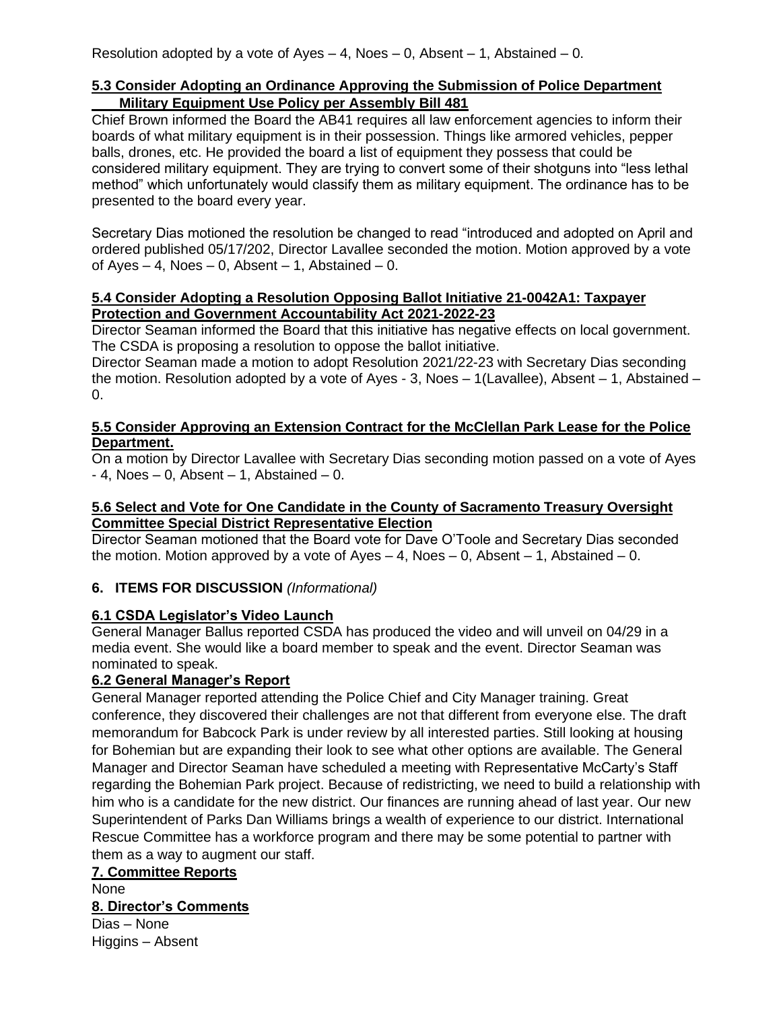# **5.3 Consider Adopting an Ordinance Approving the Submission of Police Department Military Equipment Use Policy per Assembly Bill 481**

Chief Brown informed the Board the AB41 requires all law enforcement agencies to inform their boards of what military equipment is in their possession. Things like armored vehicles, pepper balls, drones, etc. He provided the board a list of equipment they possess that could be considered military equipment. They are trying to convert some of their shotguns into "less lethal method" which unfortunately would classify them as military equipment. The ordinance has to be presented to the board every year.

Secretary Dias motioned the resolution be changed to read "introduced and adopted on April and ordered published 05/17/202, Director Lavallee seconded the motion. Motion approved by a vote of Ayes – 4, Noes – 0, Absent – 1, Abstained – 0.

#### **5.4 Consider Adopting a Resolution Opposing Ballot Initiative 21-0042A1: Taxpayer Protection and Government Accountability Act 2021-2022-23**

Director Seaman informed the Board that this initiative has negative effects on local government. The CSDA is proposing a resolution to oppose the ballot initiative.

Director Seaman made a motion to adopt Resolution 2021/22-23 with Secretary Dias seconding the motion. Resolution adopted by a vote of Ayes - 3, Noes – 1(Lavallee), Absent – 1, Abstained – 0.

## **5.5 Consider Approving an Extension Contract for the McClellan Park Lease for the Police Department.**

On a motion by Director Lavallee with Secretary Dias seconding motion passed on a vote of Ayes  $-4$ , Noes  $-0$ , Absent  $-1$ , Abstained  $-0$ .

# **5.6 Select and Vote for One Candidate in the County of Sacramento Treasury Oversight Committee Special District Representative Election**

Director Seaman motioned that the Board vote for Dave O'Toole and Secretary Dias seconded the motion. Motion approved by a vote of  $Ayes - 4$ , Noes  $- 0$ , Absent  $- 1$ , Abstained  $- 0$ .

# **6. ITEMS FOR DISCUSSION** *(Informational)*

# **6.1 CSDA Legislator's Video Launch**

General Manager Ballus reported CSDA has produced the video and will unveil on 04/29 in a media event. She would like a board member to speak and the event. Director Seaman was nominated to speak.

# **6.2 General Manager's Report**

General Manager reported attending the Police Chief and City Manager training. Great conference, they discovered their challenges are not that different from everyone else. The draft memorandum for Babcock Park is under review by all interested parties. Still looking at housing for Bohemian but are expanding their look to see what other options are available. The General Manager and Director Seaman have scheduled a meeting with Representative McCarty's Staff regarding the Bohemian Park project. Because of redistricting, we need to build a relationship with him who is a candidate for the new district. Our finances are running ahead of last year. Our new Superintendent of Parks Dan Williams brings a wealth of experience to our district. International Rescue Committee has a workforce program and there may be some potential to partner with them as a way to augment our staff.

**7. Committee Reports**  None **8. Director's Comments** Dias – None Higgins – Absent